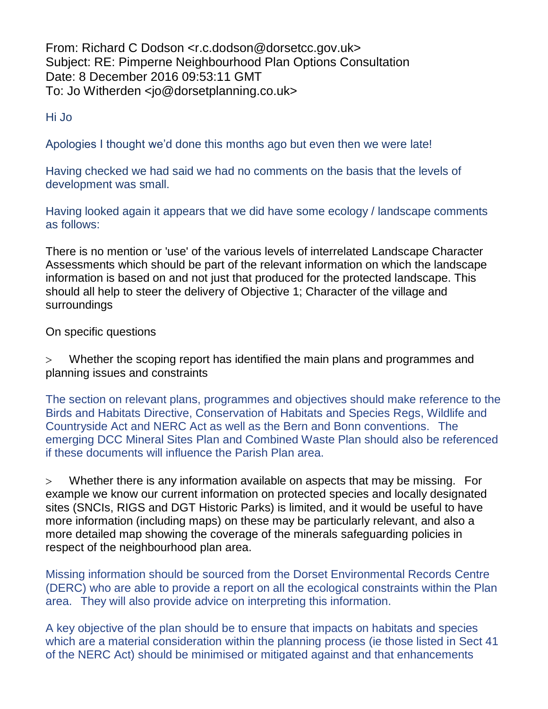From: Richard C Dodson <r.c.dodson@dorsetcc.gov.uk> Subject: RE: Pimperne Neighbourhood Plan Options Consultation Date: 8 December 2016 09:53:11 GMT To: Jo Witherden <jo@dorsetplanning.co.uk>

Hi Jo

Apologies I thought we'd done this months ago but even then we were late!

Having checked we had said we had no comments on the basis that the levels of development was small.

Having looked again it appears that we did have some ecology / landscape comments as follows:

There is no mention or 'use' of the various levels of interrelated Landscape Character Assessments which should be part of the relevant information on which the landscape information is based on and not just that produced for the protected landscape. This should all help to steer the delivery of Objective 1; Character of the village and surroundings

## On specific questions

 Whether the scoping report has identified the main plans and programmes and planning issues and constraints

The section on relevant plans, programmes and objectives should make reference to the Birds and Habitats Directive, Conservation of Habitats and Species Regs, Wildlife and Countryside Act and NERC Act as well as the Bern and Bonn conventions. The emerging DCC Mineral Sites Plan and Combined Waste Plan should also be referenced if these documents will influence the Parish Plan area.

 Whether there is any information available on aspects that may be missing. For example we know our current information on protected species and locally designated sites (SNCIs, RIGS and DGT Historic Parks) is limited, and it would be useful to have more information (including maps) on these may be particularly relevant, and also a more detailed map showing the coverage of the minerals safeguarding policies in respect of the neighbourhood plan area.

Missing information should be sourced from the Dorset Environmental Records Centre (DERC) who are able to provide a report on all the ecological constraints within the Plan area. They will also provide advice on interpreting this information.

A key objective of the plan should be to ensure that impacts on habitats and species which are a material consideration within the planning process (ie those listed in Sect 41 of the NERC Act) should be minimised or mitigated against and that enhancements